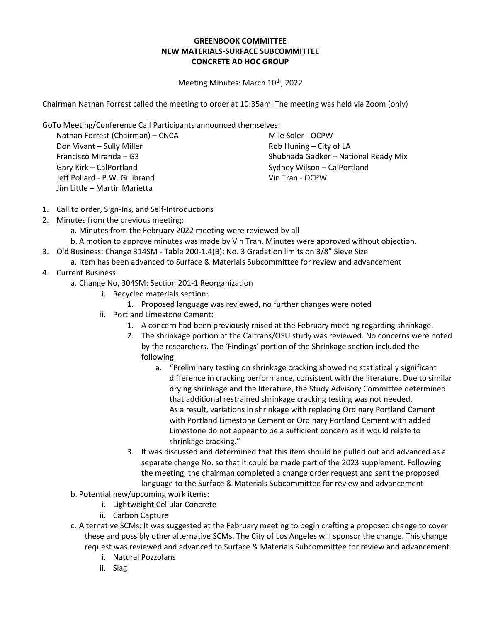## **GREENBOOK COMMITTEE NEW MATERIALS-SURFACE SUBCOMMITTEE CONCRETE AD HOC GROUP**

Meeting Minutes: March 10<sup>th</sup>, 2022

Chairman Nathan Forrest called the meeting to order at 10:35am. The meeting was held via Zoom (only)

GoTo Meeting/Conference Call Participants announced themselves:

Nathan Forrest (Chairman) – CNCA Don Vivant – Sully Miller Francisco Miranda – G3 Gary Kirk – CalPortland Jeff Pollard - P.W. Gillibrand Jim Little – Martin Marietta

Mile Soler - OCPW Rob Huning – City of LA Shubhada Gadker – National Ready Mix Sydney Wilson – CalPortland Vin Tran - OCPW

- 1. Call to order, Sign-Ins, and Self-Introductions
- 2. Minutes from the previous meeting:
	- a. Minutes from the February 2022 meeting were reviewed by all
	- b. A motion to approve minutes was made by Vin Tran. Minutes were approved without objection.
- 3. Old Business: Change 314SM Table 200-1.4(B); No. 3 Gradation limits on 3/8" Sieve Size
	- a. Item has been advanced to Surface & Materials Subcommittee for review and advancement
- 4. Current Business:
	- a. Change No, 304SM: Section 201-1 Reorganization
		- i. Recycled materials section:
			- 1. Proposed language was reviewed, no further changes were noted
		- ii. Portland Limestone Cement:
			- 1. A concern had been previously raised at the February meeting regarding shrinkage.
			- 2. The shrinkage portion of the Caltrans/OSU study was reviewed. No concerns were noted by the researchers. The 'Findings' portion of the Shrinkage section included the following:
				- a. "Preliminary testing on shrinkage cracking showed no statistically significant difference in cracking performance, consistent with the literature. Due to similar drying shrinkage and the literature, the Study Advisory Committee determined that additional restrained shrinkage cracking testing was not needed. As a result, variations in shrinkage with replacing Ordinary Portland Cement with Portland Limestone Cement or Ordinary Portland Cement with added Limestone do not appear to be a sufficient concern as it would relate to shrinkage cracking."
			- 3. It was discussed and determined that this item should be pulled out and advanced as a separate change No. so that it could be made part of the 2023 supplement. Following the meeting, the chairman completed a change order request and sent the proposed language to the Surface & Materials Subcommittee for review and advancement
	- b. Potential new/upcoming work items:
		- i. Lightweight Cellular Concrete
		- ii. Carbon Capture
	- c. Alternative SCMs: It was suggested at the February meeting to begin crafting a proposed change to cover these and possibly other alternative SCMs. The City of Los Angeles will sponsor the change. This change request was reviewed and advanced to Surface & Materials Subcommittee for review and advancement
		- i. Natural Pozzolans
		- ii. Slag